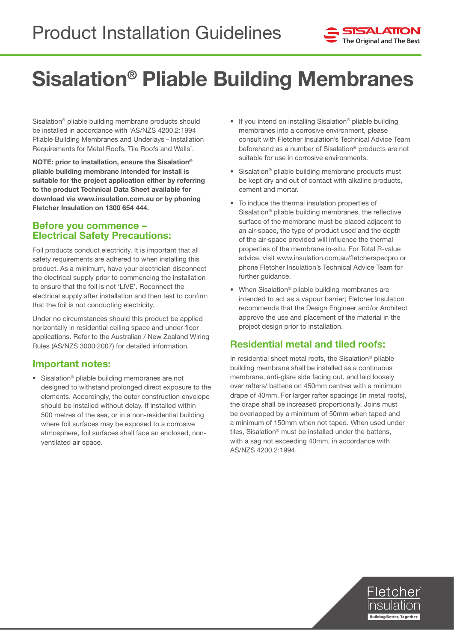

# Sisalation® Pliable Building Membranes

Sisalation® pliable building membrane products should be installed in accordance with 'AS/NZS 4200.2:1994 Pliable Building Membranes and Underlays - Installation Requirements for Metal Roofs, Tile Roofs and Walls'.

NOTE: prior to installation, ensure the Sisalation® pliable building membrane intended for install is suitable for the project application either by referring to the product Technical Data Sheet available for download via www.insulation.com.au or by phoning Fletcher Insulation on 1300 654 444.

#### Before you commence – Electrical Safety Precautions:

Foil products conduct electricity. It is important that all safety requirements are adhered to when installing this product. As a minimum, have your electrician disconnect the electrical supply prior to commencing the installation to ensure that the foil is not 'LIVE'. Reconnect the electrical supply after installation and then test to confirm that the foil is not conducting electricity.

Under no circumstances should this product be applied horizontally in residential ceiling space and under-floor applications. Refer to the Australian / New Zealand Wiring Rules (AS/NZS 3000:2007) for detailed information.

## Important notes:

• Sisalation® pliable building membranes are not designed to withstand prolonged direct exposure to the elements. Accordingly, the outer construction envelope should be installed without delay. If installed within 500 metres of the sea, or in a non-residential building where foil surfaces may be exposed to a corrosive atmosphere, foil surfaces shall face an enclosed, nonventilated air space.

- If you intend on installing Sisalation<sup>®</sup> pliable building membranes into a corrosive environment, please consult with Fletcher Insulation's Technical Advice Team beforehand as a number of Sisalation® products are not suitable for use in corrosive environments.
- Sisalation<sup>®</sup> pliable building membrane products must be kept dry and out of contact with alkaline products, cement and mortar.
- To induce the thermal insulation properties of Sisalation® pliable building membranes, the reflective surface of the membrane must be placed adjacent to an air-space, the type of product used and the depth of the air-space provided will influence the thermal properties of the membrane in-situ. For Total R-value advice, visit www.insulation.com.au/fletcherspecpro or phone Fletcher Insulation's Technical Advice Team for further guidance.
- When Sisalation® pliable building membranes are intended to act as a vapour barrier; Fletcher Insulation recommends that the Design Engineer and/or Architect approve the use and placement of the material in the project design prior to installation.

# Residential metal and tiled roofs:

In residential sheet metal roofs, the Sisalation® pliable building membrane shall be installed as a continuous membrane, anti-glare side facing out, and laid loosely over rafters/ battens on 450mm centres with a minimum drape of 40mm. For larger rafter spacings (in metal roofs), the drape shall be increased proportionally. Joins must be overlapped by a minimum of 50mm when taped and a minimum of 150mm when not taped. When used under tiles, Sisalation® must be installed under the battens, with a sag not exceeding 40mm, in accordance with AS/NZS 4200.2:1994.